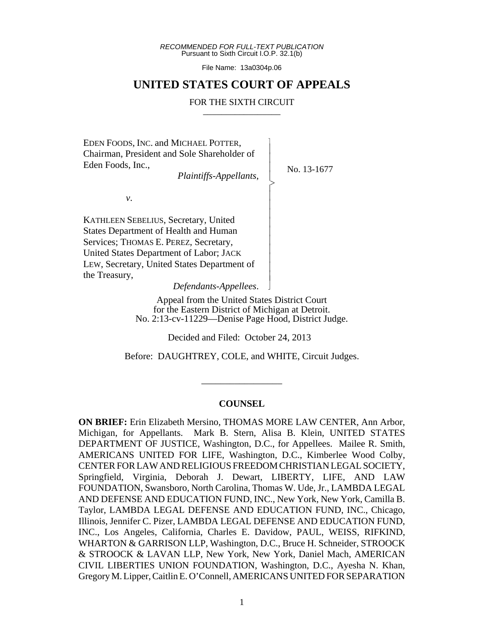*RECOMMENDED FOR FULL-TEXT PUBLICATION* Pursuant to Sixth Circuit I.O.P. 32.1(b)

File Name: 13a0304p.06

## **UNITED STATES COURT OF APPEALS**

#### FOR THE SIXTH CIRCUIT

 $\overline{\phantom{a}}$ - - - > , - - - - - - - - - - N

EDEN FOODS, INC. and MICHAEL POTTER, Chairman, President and Sole Shareholder of Eden Foods, Inc.,

*Plaintiffs-Appellants*,

No. 13-1677

*v*.

KATHLEEN SEBELIUS, Secretary, United States Department of Health and Human Services; THOMAS E. PEREZ, Secretary, United States Department of Labor; JACK LEW, Secretary, United States Department of the Treasury,

*Defendants-Appellees*.

Appeal from the United States District Court for the Eastern District of Michigan at Detroit. No. 2:13-cv-11229—Denise Page Hood, District Judge.

Decided and Filed: October 24, 2013

Before: DAUGHTREY, COLE, and WHITE, Circuit Judges.

\_\_\_\_\_\_\_\_\_\_\_\_\_\_\_\_\_

## **COUNSEL**

**ON BRIEF:** Erin Elizabeth Mersino, THOMAS MORE LAW CENTER, Ann Arbor, Michigan, for Appellants. Mark B. Stern, Alisa B. Klein, UNITED STATES DEPARTMENT OF JUSTICE, Washington, D.C., for Appellees. Mailee R. Smith, AMERICANS UNITED FOR LIFE, Washington, D.C., Kimberlee Wood Colby, CENTER FOR LAW AND RELIGIOUS FREEDOM CHRISTIAN LEGAL SOCIETY, Springfield, Virginia, Deborah J. Dewart, LIBERTY, LIFE, AND LAW FOUNDATION, Swansboro, North Carolina, Thomas W. Ude, Jr., LAMBDA LEGAL AND DEFENSE AND EDUCATION FUND, INC., New York, New York, Camilla B. Taylor, LAMBDA LEGAL DEFENSE AND EDUCATION FUND, INC., Chicago, Illinois, Jennifer C. Pizer, LAMBDA LEGAL DEFENSE AND EDUCATION FUND, INC., Los Angeles, California, Charles E. Davidow, PAUL, WEISS, RIFKIND, WHARTON & GARRISON LLP, Washington, D.C., Bruce H. Schneider, STROOCK & STROOCK & LAVAN LLP, New York, New York, Daniel Mach, AMERICAN CIVIL LIBERTIES UNION FOUNDATION, Washington, D.C., Ayesha N. Khan, Gregory M. Lipper, Caitlin E. O'Connell, AMERICANS UNITED FOR SEPARATION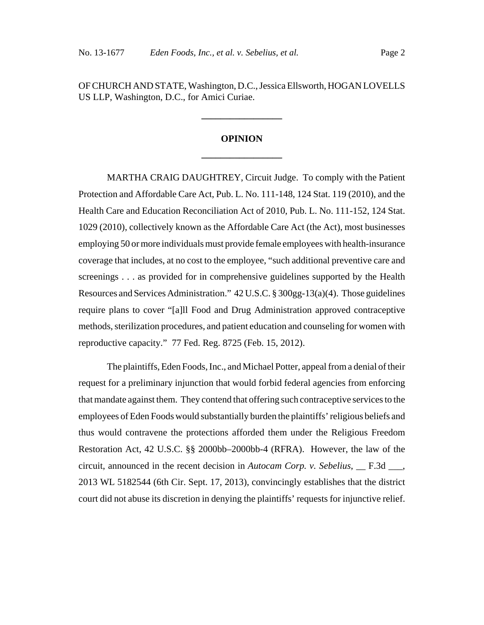OF CHURCH AND STATE, Washington, D.C., Jessica Ellsworth, HOGAN LOVELLS US LLP, Washington, D.C., for Amici Curiae.

**\_\_\_\_\_\_\_\_\_\_\_\_\_\_\_\_\_**

# **OPINION \_\_\_\_\_\_\_\_\_\_\_\_\_\_\_\_\_**

MARTHA CRAIG DAUGHTREY, Circuit Judge. To comply with the Patient Protection and Affordable Care Act, Pub. L. No. 111-148, 124 Stat. 119 (2010), and the Health Care and Education Reconciliation Act of 2010, Pub. L. No. 111-152, 124 Stat. 1029 (2010), collectively known as the Affordable Care Act (the Act), most businesses employing 50 or more individuals must provide female employees with health-insurance coverage that includes, at no cost to the employee, "such additional preventive care and screenings . . . as provided for in comprehensive guidelines supported by the Health Resources and Services Administration." 42 U.S.C. § 300gg-13(a)(4). Those guidelines require plans to cover "[a]ll Food and Drug Administration approved contraceptive methods, sterilization procedures, and patient education and counseling for women with reproductive capacity." 77 Fed. Reg. 8725 (Feb. 15, 2012).

The plaintiffs, Eden Foods, Inc., and Michael Potter, appeal from a denial of their request for a preliminary injunction that would forbid federal agencies from enforcing that mandate against them. They contend that offering such contraceptive services to the employees of Eden Foods would substantially burden the plaintiffs' religious beliefs and thus would contravene the protections afforded them under the Religious Freedom Restoration Act, 42 U.S.C. §§ 2000bb–2000bb-4 (RFRA). However, the law of the circuit, announced in the recent decision in *Autocam Corp. v. Sebelius*, \_\_ F.3d \_\_\_, 2013 WL 5182544 (6th Cir. Sept. 17, 2013), convincingly establishes that the district court did not abuse its discretion in denying the plaintiffs' requests for injunctive relief.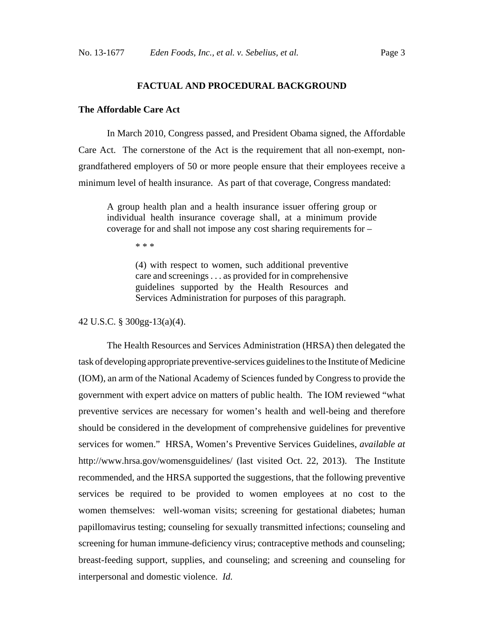#### **FACTUAL AND PROCEDURAL BACKGROUND**

## **The Affordable Care Act**

In March 2010, Congress passed, and President Obama signed, the Affordable Care Act. The cornerstone of the Act is the requirement that all non-exempt, nongrandfathered employers of 50 or more people ensure that their employees receive a minimum level of health insurance. As part of that coverage, Congress mandated:

A group health plan and a health insurance issuer offering group or individual health insurance coverage shall, at a minimum provide coverage for and shall not impose any cost sharing requirements for –

\* \* \*

(4) with respect to women, such additional preventive care and screenings . . . as provided for in comprehensive guidelines supported by the Health Resources and Services Administration for purposes of this paragraph.

42 U.S.C. § 300gg-13(a)(4).

The Health Resources and Services Administration (HRSA) then delegated the task of developing appropriate preventive-services guidelines to the Institute of Medicine (IOM), an arm of the National Academy of Sciences funded by Congress to provide the government with expert advice on matters of public health. The IOM reviewed "what preventive services are necessary for women's health and well-being and therefore should be considered in the development of comprehensive guidelines for preventive services for women." HRSA, Women's Preventive Services Guidelines, *available at* http://www.hrsa.gov/womensguidelines/ (last visited Oct. 22, 2013). The Institute recommended, and the HRSA supported the suggestions, that the following preventive services be required to be provided to women employees at no cost to the women themselves: well-woman visits; screening for gestational diabetes; human papillomavirus testing; counseling for sexually transmitted infections; counseling and screening for human immune-deficiency virus; contraceptive methods and counseling; breast-feeding support, supplies, and counseling; and screening and counseling for interpersonal and domestic violence. *Id.*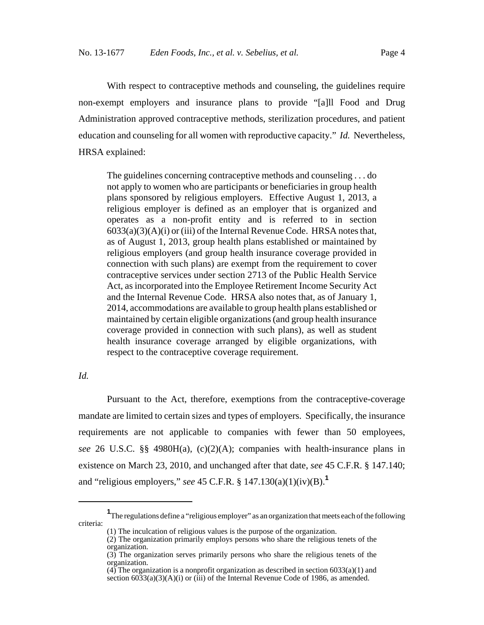With respect to contraceptive methods and counseling, the guidelines require non-exempt employers and insurance plans to provide "[a]ll Food and Drug Administration approved contraceptive methods, sterilization procedures, and patient education and counseling for all women with reproductive capacity." *Id.* Nevertheless, HRSA explained:

The guidelines concerning contraceptive methods and counseling . . . do not apply to women who are participants or beneficiaries in group health plans sponsored by religious employers. Effective August 1, 2013, a religious employer is defined as an employer that is organized and operates as a non-profit entity and is referred to in section  $6033(a)(3)(A)(i)$  or (iii) of the Internal Revenue Code. HRSA notes that, as of August 1, 2013, group health plans established or maintained by religious employers (and group health insurance coverage provided in connection with such plans) are exempt from the requirement to cover contraceptive services under section 2713 of the Public Health Service Act, as incorporated into the Employee Retirement Income Security Act and the Internal Revenue Code. HRSA also notes that, as of January 1, 2014, accommodations are available to group health plans established or maintained by certain eligible organizations (and group health insurance coverage provided in connection with such plans), as well as student health insurance coverage arranged by eligible organizations, with respect to the contraceptive coverage requirement.

*Id.*

Pursuant to the Act, therefore, exemptions from the contraceptive-coverage mandate are limited to certain sizes and types of employers. Specifically, the insurance requirements are not applicable to companies with fewer than 50 employees, *see* 26 U.S.C. §§ 4980H(a), (c)(2)(A); companies with health-insurance plans in existence on March 23, 2010, and unchanged after that date, *see* 45 C.F.R. § 147.140; and "religious employers," *see* 45 C.F.R. § 147.130(a)(1)(iv)(B).**<sup>1</sup>**

**<sup>1</sup>** The regulations define a "religious employer" as an organization that meets each of the following criteria:

<sup>(1)</sup> The inculcation of religious values is the purpose of the organization.

<sup>(2)</sup> The organization primarily employs persons who share the religious tenets of the organization.

<sup>(3)</sup> The organization serves primarily persons who share the religious tenets of the organization.

 $(4)$  The organization is a nonprofit organization as described in section 6033(a)(1) and section  $6033(a)(3)(A)(i)$  or (iii) of the Internal Revenue Code of 1986, as amended.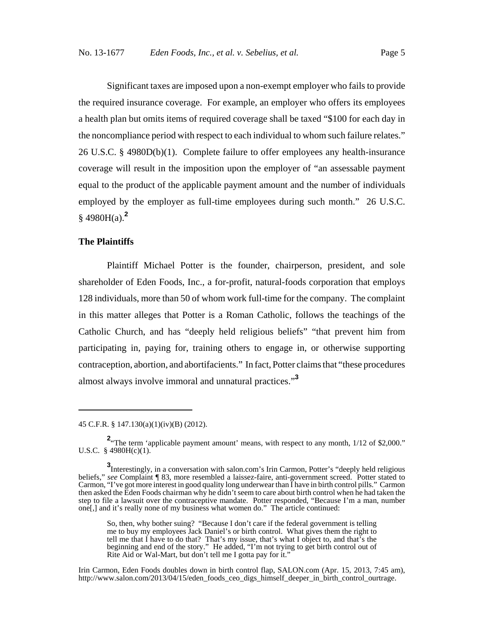Significant taxes are imposed upon a non-exempt employer who fails to provide the required insurance coverage. For example, an employer who offers its employees a health plan but omits items of required coverage shall be taxed "\$100 for each day in the noncompliance period with respect to each individual to whom such failure relates." 26 U.S.C. § 4980D(b)(1). Complete failure to offer employees any health-insurance coverage will result in the imposition upon the employer of "an assessable payment equal to the product of the applicable payment amount and the number of individuals employed by the employer as full-time employees during such month." 26 U.S.C. § 4980H(a).**<sup>2</sup>**

#### **The Plaintiffs**

Plaintiff Michael Potter is the founder, chairperson, president, and sole shareholder of Eden Foods, Inc., a for-profit, natural-foods corporation that employs 128 individuals, more than 50 of whom work full-time for the company. The complaint in this matter alleges that Potter is a Roman Catholic, follows the teachings of the Catholic Church, and has "deeply held religious beliefs" "that prevent him from participating in, paying for, training others to engage in, or otherwise supporting contraception, abortion, and abortifacients." In fact, Potter claims that "these procedures almost always involve immoral and unnatural practices."**<sup>3</sup>**

Irin Carmon, Eden Foods doubles down in birth control flap, SALON.com (Apr. 15, 2013, 7:45 am), http://www.salon.com/2013/04/15/eden\_foods\_ceo\_digs\_himself\_deeper\_in\_birth\_control\_ourtrage.

<sup>45</sup> C.F.R. § 147.130(a)(1)(iv)(B) (2012).

<sup>&</sup>lt;sup>2</sup> The term 'applicable payment amount' means, with respect to any month, 1/12 of \$2,000." U.S.C. § 4980H(c)(1).

**<sup>3</sup>**<br>Interestingly, in a conversation with salon.com's Irin Carmon, Potter's "deeply held religious beliefs," *see* Complaint ¶ 83, more resembled a laissez-faire, anti-government screed. Potter stated to Carmon, "I've got more interest in good quality long underwear than I have in birth control pills." Carmon then asked the Eden Foods chairman why he didn't seem to care about birth control when he had taken the step to file a lawsuit over the contraceptive mandate. Potter responded, "Because I'm a man, number one[,] and it's really none of my business what women do." The article continued:

So, then, why bother suing? "Because I don't care if the federal government is telling me to buy my employees Jack Daniel's or birth control. What gives them the right to tell me that I have to do that? That's my issue, that's what I object to, and that's the beginning and end of the story." He added, "I'm not trying to get birth control out of Rite Aid or Wal-Mart, but don't tell me I gotta pay for it."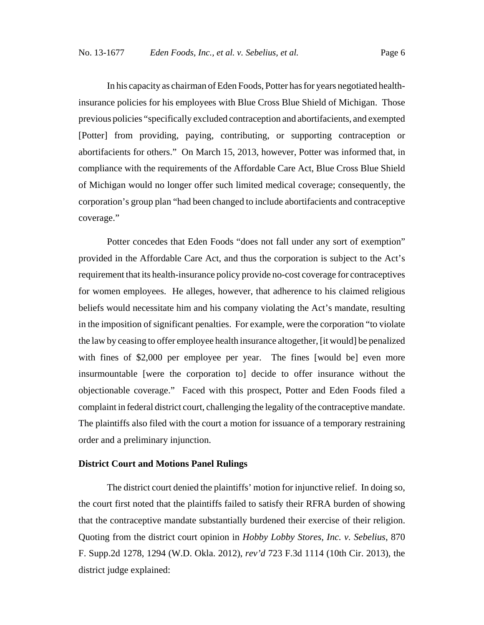In his capacity as chairman of Eden Foods, Potter has for years negotiated healthinsurance policies for his employees with Blue Cross Blue Shield of Michigan. Those previous policies "specifically excluded contraception and abortifacients, and exempted [Potter] from providing, paying, contributing, or supporting contraception or abortifacients for others." On March 15, 2013, however, Potter was informed that, in compliance with the requirements of the Affordable Care Act, Blue Cross Blue Shield of Michigan would no longer offer such limited medical coverage; consequently, the corporation's group plan "had been changed to include abortifacients and contraceptive coverage."

Potter concedes that Eden Foods "does not fall under any sort of exemption" provided in the Affordable Care Act, and thus the corporation is subject to the Act's requirement that its health-insurance policy provide no-cost coverage for contraceptives for women employees. He alleges, however, that adherence to his claimed religious beliefs would necessitate him and his company violating the Act's mandate, resulting in the imposition of significant penalties. For example, were the corporation "to violate the law by ceasing to offer employee health insurance altogether, [it would] be penalized with fines of \$2,000 per employee per year. The fines [would be] even more insurmountable [were the corporation to] decide to offer insurance without the objectionable coverage." Faced with this prospect, Potter and Eden Foods filed a complaint in federal district court, challenging the legality of the contraceptive mandate. The plaintiffs also filed with the court a motion for issuance of a temporary restraining order and a preliminary injunction.

### **District Court and Motions Panel Rulings**

The district court denied the plaintiffs' motion for injunctive relief. In doing so, the court first noted that the plaintiffs failed to satisfy their RFRA burden of showing that the contraceptive mandate substantially burdened their exercise of their religion. Quoting from the district court opinion in *Hobby Lobby Stores, Inc. v. Sebelius*, 870 F. Supp.2d 1278, 1294 (W.D. Okla. 2012), *rev'd* 723 F.3d 1114 (10th Cir. 2013), the district judge explained: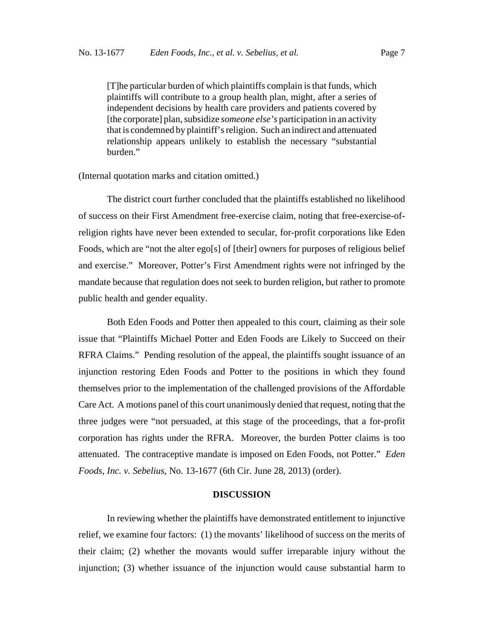[T]he particular burden of which plaintiffs complain is that funds, which plaintiffs will contribute to a group health plan, might, after a series of independent decisions by health care providers and patients covered by [the corporate] plan, subsidize *someone else's* participation in an activity that is condemned by plaintiff's religion. Such an indirect and attenuated relationship appears unlikely to establish the necessary "substantial burden."

#### (Internal quotation marks and citation omitted.)

The district court further concluded that the plaintiffs established no likelihood of success on their First Amendment free-exercise claim, noting that free-exercise-ofreligion rights have never been extended to secular, for-profit corporations like Eden Foods, which are "not the alter ego[s] of [their] owners for purposes of religious belief and exercise." Moreover, Potter's First Amendment rights were not infringed by the mandate because that regulation does not seek to burden religion, but rather to promote public health and gender equality.

Both Eden Foods and Potter then appealed to this court, claiming as their sole issue that "Plaintiffs Michael Potter and Eden Foods are Likely to Succeed on their RFRA Claims." Pending resolution of the appeal, the plaintiffs sought issuance of an injunction restoring Eden Foods and Potter to the positions in which they found themselves prior to the implementation of the challenged provisions of the Affordable Care Act. A motions panel of this court unanimously denied that request, noting that the three judges were "not persuaded, at this stage of the proceedings, that a for-profit corporation has rights under the RFRA. Moreover, the burden Potter claims is too attenuated. The contraceptive mandate is imposed on Eden Foods, not Potter." *Eden Foods, Inc. v. Sebelius*, No. 13-1677 (6th Cir. June 28, 2013) (order).

#### **DISCUSSION**

In reviewing whether the plaintiffs have demonstrated entitlement to injunctive relief, we examine four factors: (1) the movants' likelihood of success on the merits of their claim; (2) whether the movants would suffer irreparable injury without the injunction; (3) whether issuance of the injunction would cause substantial harm to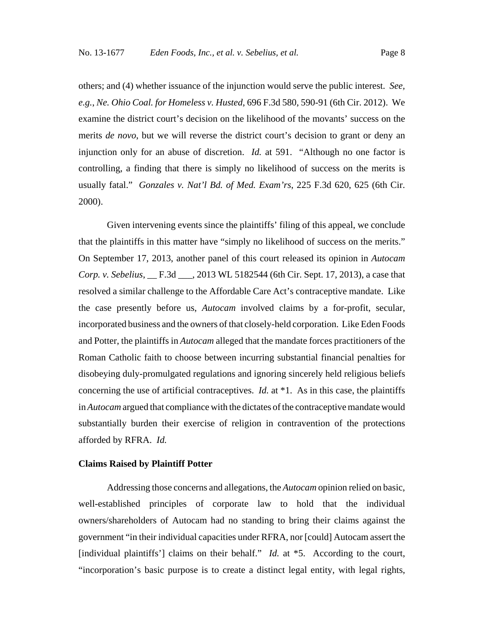others; and (4) whether issuance of the injunction would serve the public interest. *See, e.g.*, *Ne. Ohio Coal. for Homeless v. Husted*, 696 F.3d 580, 590-91 (6th Cir. 2012). We examine the district court's decision on the likelihood of the movants' success on the merits *de novo*, but we will reverse the district court's decision to grant or deny an injunction only for an abuse of discretion. *Id.* at 591. "Although no one factor is controlling, a finding that there is simply no likelihood of success on the merits is usually fatal." *Gonzales v. Nat'l Bd. of Med. Exam'rs*, 225 F.3d 620, 625 (6th Cir. 2000).

Given intervening events since the plaintiffs' filing of this appeal, we conclude that the plaintiffs in this matter have "simply no likelihood of success on the merits." On September 17, 2013, another panel of this court released its opinion in *Autocam Corp. v. Sebelius*, \_\_ F.3d \_\_\_, 2013 WL 5182544 (6th Cir. Sept. 17, 2013), a case that resolved a similar challenge to the Affordable Care Act's contraceptive mandate. Like the case presently before us, *Autocam* involved claims by a for-profit, secular, incorporated business and the owners of that closely-held corporation. Like Eden Foods and Potter, the plaintiffs in *Autocam* alleged that the mandate forces practitioners of the Roman Catholic faith to choose between incurring substantial financial penalties for disobeying duly-promulgated regulations and ignoring sincerely held religious beliefs concerning the use of artificial contraceptives. *Id.* at \*1. As in this case, the plaintiffs in *Autocam* argued that compliance with the dictates of the contraceptive mandate would substantially burden their exercise of religion in contravention of the protections afforded by RFRA. *Id.*

#### **Claims Raised by Plaintiff Potter**

Addressing those concerns and allegations, the *Autocam* opinion relied on basic, well-established principles of corporate law to hold that the individual owners/shareholders of Autocam had no standing to bring their claims against the government "in their individual capacities under RFRA, nor [could] Autocam assert the [individual plaintiffs'] claims on their behalf." *Id.* at \*5. According to the court, "incorporation's basic purpose is to create a distinct legal entity, with legal rights,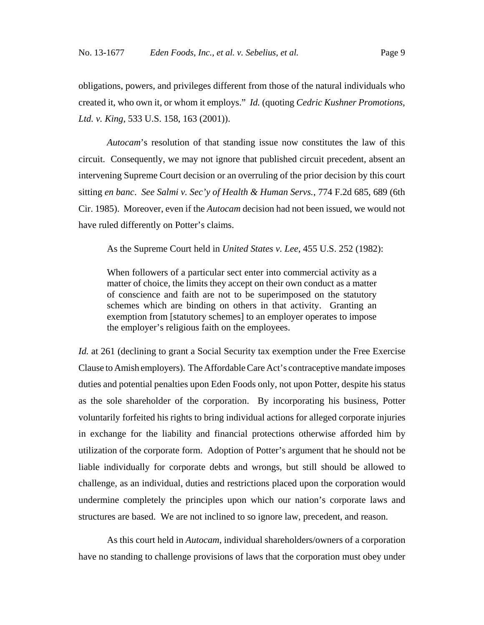obligations, powers, and privileges different from those of the natural individuals who created it, who own it, or whom it employs." *Id.* (quoting *Cedric Kushner Promotions, Ltd. v. King*, 533 U.S. 158, 163 (2001)).

*Autocam*'s resolution of that standing issue now constitutes the law of this circuit. Consequently, we may not ignore that published circuit precedent, absent an intervening Supreme Court decision or an overruling of the prior decision by this court sitting *en banc*. *See Salmi v. Sec'y of Health & Human Servs.*, 774 F.2d 685, 689 (6th Cir. 1985). Moreover, even if the *Autocam* decision had not been issued, we would not have ruled differently on Potter's claims.

As the Supreme Court held in *United States v. Lee*, 455 U.S. 252 (1982):

When followers of a particular sect enter into commercial activity as a matter of choice, the limits they accept on their own conduct as a matter of conscience and faith are not to be superimposed on the statutory schemes which are binding on others in that activity. Granting an exemption from [statutory schemes] to an employer operates to impose the employer's religious faith on the employees.

*Id.* at 261 (declining to grant a Social Security tax exemption under the Free Exercise Clause to Amish employers). The Affordable Care Act's contraceptive mandate imposes duties and potential penalties upon Eden Foods only, not upon Potter, despite his status as the sole shareholder of the corporation. By incorporating his business, Potter voluntarily forfeited his rights to bring individual actions for alleged corporate injuries in exchange for the liability and financial protections otherwise afforded him by utilization of the corporate form. Adoption of Potter's argument that he should not be liable individually for corporate debts and wrongs, but still should be allowed to challenge, as an individual, duties and restrictions placed upon the corporation would undermine completely the principles upon which our nation's corporate laws and structures are based. We are not inclined to so ignore law, precedent, and reason.

As this court held in *Autocam*, individual shareholders/owners of a corporation have no standing to challenge provisions of laws that the corporation must obey under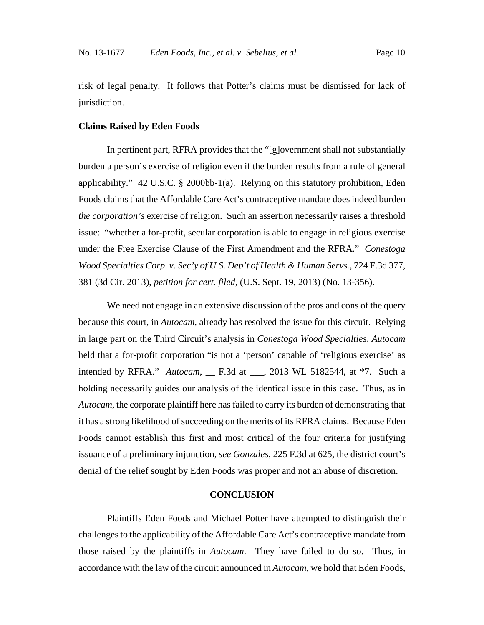risk of legal penalty. It follows that Potter's claims must be dismissed for lack of jurisdiction.

#### **Claims Raised by Eden Foods**

In pertinent part, RFRA provides that the "[g]overnment shall not substantially burden a person's exercise of religion even if the burden results from a rule of general applicability." 42 U.S.C. § 2000bb-1(a). Relying on this statutory prohibition, Eden Foods claims that the Affordable Care Act's contraceptive mandate does indeed burden *the corporation's* exercise of religion. Such an assertion necessarily raises a threshold issue: "whether a for-profit, secular corporation is able to engage in religious exercise under the Free Exercise Clause of the First Amendment and the RFRA." *Conestoga Wood Specialties Corp. v. Sec'y of U.S. Dep't of Health & Human Servs.*, 724 F.3d 377, 381 (3d Cir. 2013), *petition for cert. filed*, (U.S. Sept. 19, 2013) (No. 13-356).

We need not engage in an extensive discussion of the pros and cons of the query because this court, in *Autocam*, already has resolved the issue for this circuit. Relying in large part on the Third Circuit's analysis in *Conestoga Wood Specialties*, *Autocam* held that a for-profit corporation "is not a 'person' capable of 'religious exercise' as intended by RFRA." *Autocam*, \_\_ F.3d at \_\_\_, 2013 WL 5182544, at \*7. Such a holding necessarily guides our analysis of the identical issue in this case. Thus, as in *Autocam*, the corporate plaintiff here has failed to carry its burden of demonstrating that it has a strong likelihood of succeeding on the merits of its RFRA claims. Because Eden Foods cannot establish this first and most critical of the four criteria for justifying issuance of a preliminary injunction, *see Gonzales*, 225 F.3d at 625, the district court's denial of the relief sought by Eden Foods was proper and not an abuse of discretion.

### **CONCLUSION**

Plaintiffs Eden Foods and Michael Potter have attempted to distinguish their challenges to the applicability of the Affordable Care Act's contraceptive mandate from those raised by the plaintiffs in *Autocam*. They have failed to do so. Thus, in accordance with the law of the circuit announced in *Autocam*, we hold that Eden Foods,